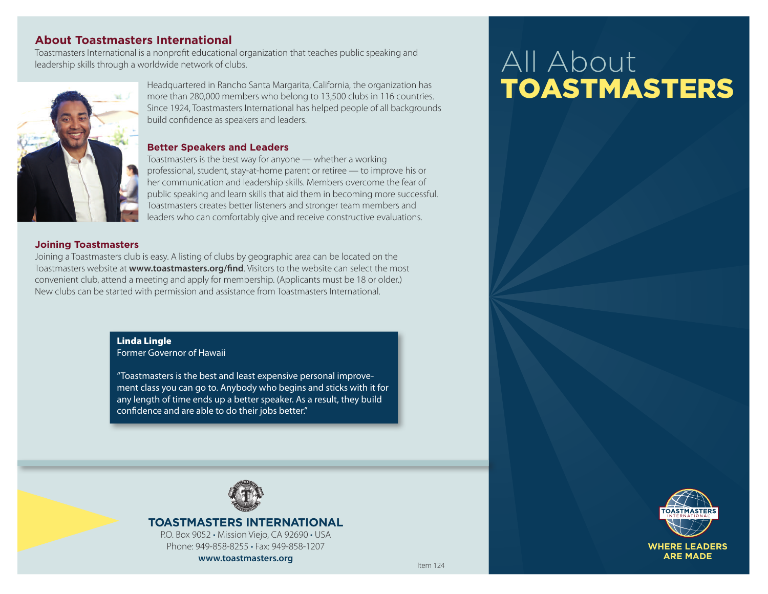# **About Toastmasters International**

Toastmasters International is a nonprofit educational organization that teaches public speaking and leadership skills through a worldwide network of clubs.



Headquartered in Rancho Santa Margarita, California, the organization has more than 280,000 members who belong to 13,500 clubs in 116 countries. Since 1924, Toastmasters International has helped people of all backgrounds build confidence as speakers and leaders.

#### **Better Speakers and Leaders**

Toastmasters is the best way for anyone — whether a working professional, student, stay-at-home parent or retiree - to improve his or her communication and leadership skills. Members overcome the fear of public speaking and learn skills that aid them in becoming more successful. Toastmasters creates better listeners and stronger team members and leaders who can comfortably give and receive constructive evaluations.

#### **Joining Toastmasters**

Joining a Toastmasters club is easy. A listing of clubs by geographic area can be located on the Toastmasters website at www.toastmasters.org/find. Visitors to the website can select the most convenient club, attend a meeting and apply for membership. (Applicants must be 18 or older.) New clubs can be started with permission and assistance from Toastmasters International.

### **Linda Lingle**

**Former Governor of Hawaii** 

"Toastmasters is the best and least expensive personal improvement class you can go to. Anybody who begins and sticks with it for any length of time ends up a better speaker. As a result, they build confidence and are able to do their jobs better."



# **TOASTMASTERS INTERNATIONAL**

P.O. Box 9052 · Mission Viejo, CA 92690 · USA Phone: 949-858-8255 · Fax: 949-858-1207 www.toastmasters.org

# All About **TOASTMASTERS**